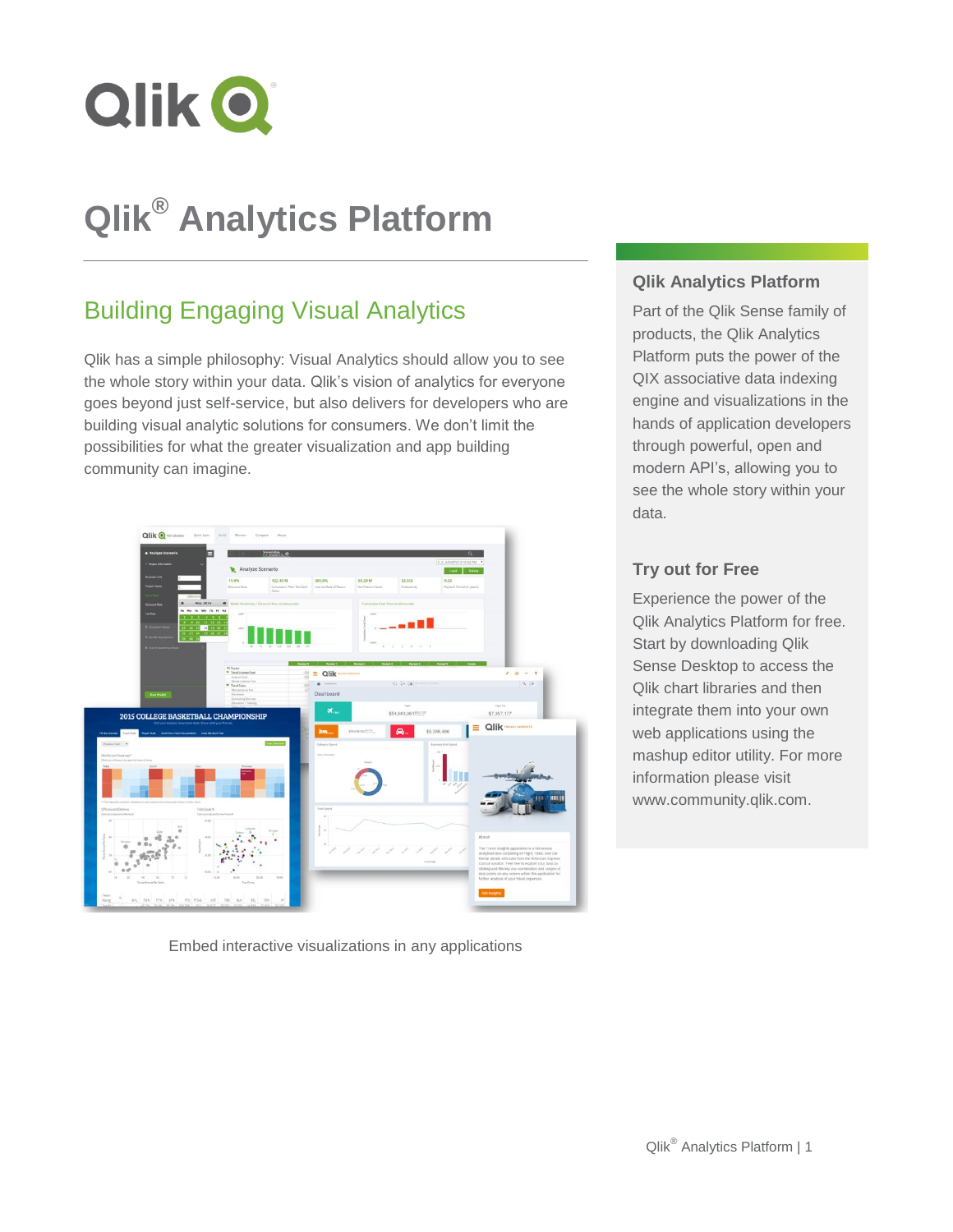

# **Qlik® Analytics Platform**

# Building Engaging Visual Analytics

Qlik has a simple philosophy: Visual Analytics should allow you to see the whole story within your data. Qlik's vision of analytics for everyone goes beyond just self-service, but also delivers for developers who are building visual analytic solutions for consumers. We don't limit the possibilities for what the greater visualization and app building community can imagine.



Embed interactive visualizations in any applications

### **Qlik Analytics Platform**

Part of the Qlik Sense family of products, the Qlik Analytics Platform puts the power of the QIX associative data indexing engine and visualizations in the hands of application developers through powerful, open and modern API's, allowing you to see the whole story within your data.

### **Try out for Free**

Experience the power of the Qlik Analytics Platform for free. Start by downloading Qlik Sense Desktop to access the Qlik chart libraries and then integrate them into your own web applications using the mashup editor utility. For more information please visit www.community.qlik.com.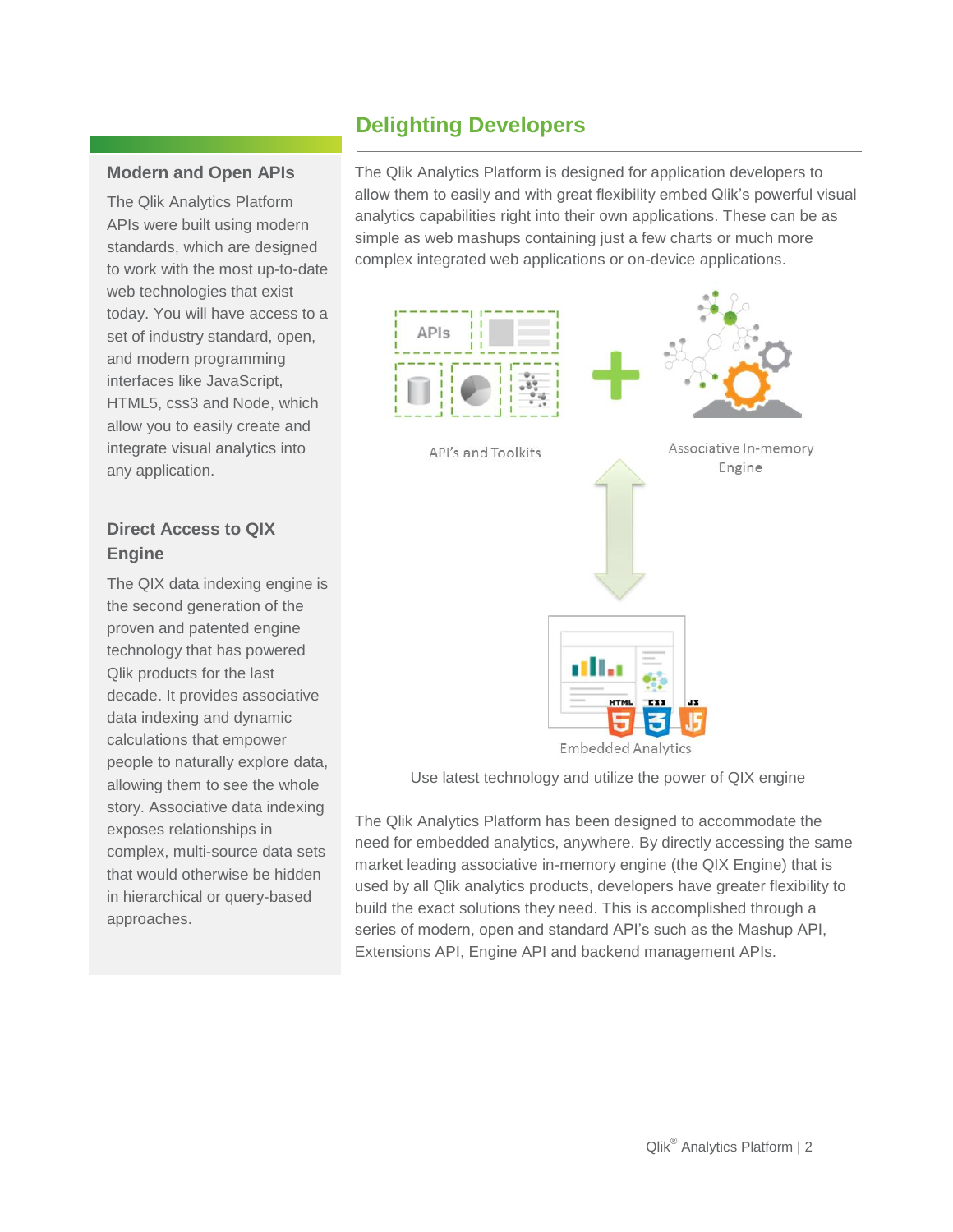# **Delighting Developers**

### **Modern and Open APIs**

The Qlik Analytics Platform APIs were built using modern standards, which are designed to work with the most up-to-date web technologies that exist today. You will have access to a set of industry standard, open, and modern programming interfaces like JavaScript, HTML5, css3 and Node, which allow you to easily create and integrate visual analytics into any application.

# **Direct Access to QIX Engine**

The QIX data indexing engine is the second generation of the proven and patented engine technology that has powered Qlik products for the last decade. It provides associative data indexing and dynamic calculations that empower people to naturally explore data, allowing them to see the whole story. Associative data indexing exposes relationships in complex, multi-source data sets that would otherwise be hidden in hierarchical or query-based approaches.

The Qlik Analytics Platform is designed for application developers to allow them to easily and with great flexibility embed Qlik's powerful visual analytics capabilities right into their own applications. These can be as simple as web mashups containing just a few charts or much more complex integrated web applications or on-device applications.



**Embedded Analytics** 

Use latest technology and utilize the power of QIX engine

The Qlik Analytics Platform has been designed to accommodate the need for embedded analytics, anywhere. By directly accessing the same market leading associative in-memory engine (the QIX Engine) that is used by all Qlik analytics products, developers have greater flexibility to build the exact solutions they need. This is accomplished through a series of modern, open and standard API's such as the Mashup API, Extensions API, Engine API and backend management APIs.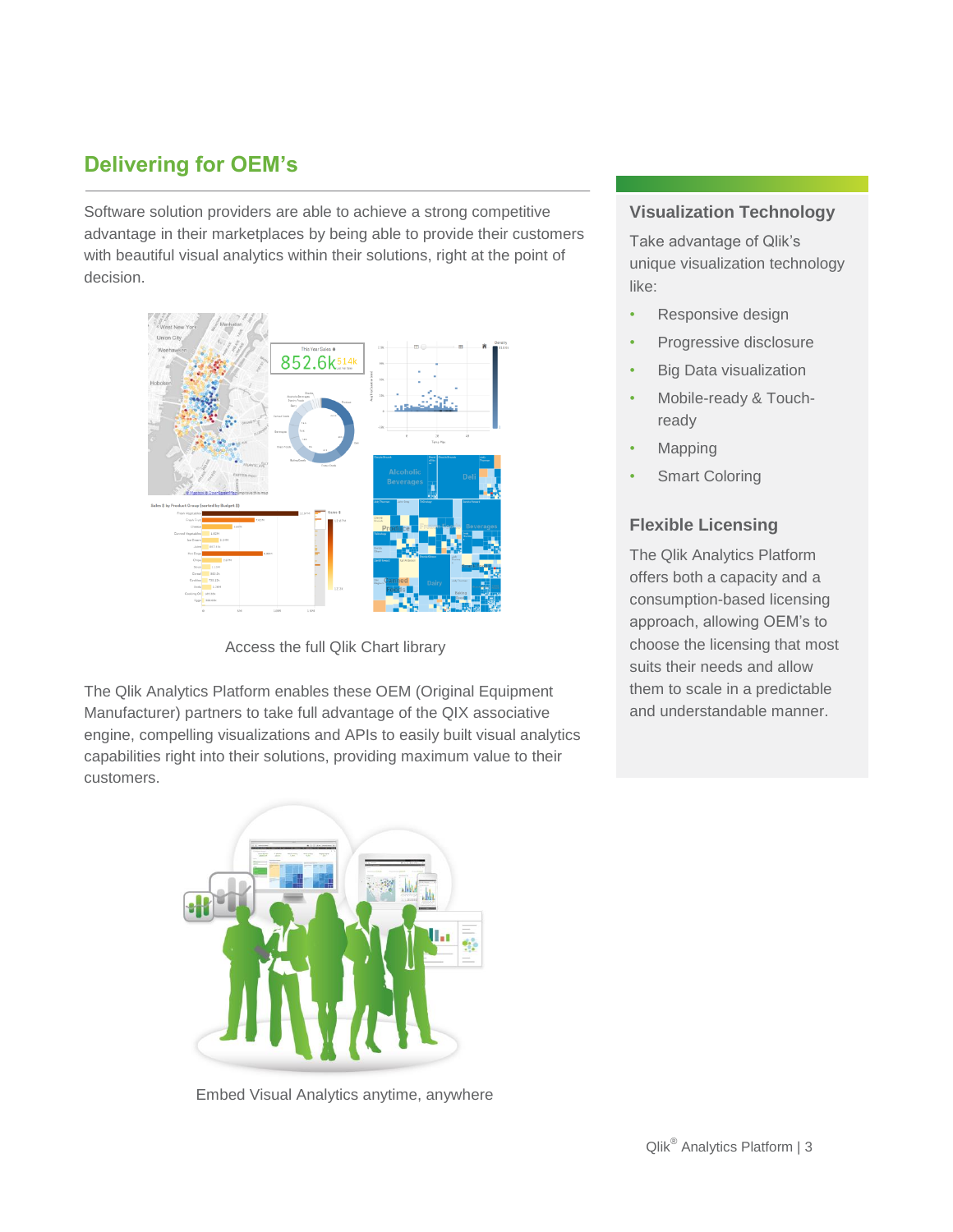# **Delivering for OEM's**

Software solution providers are able to achieve a strong competitive advantage in their marketplaces by being able to provide their customers with beautiful visual analytics within their solutions, right at the point of decision.



Access the full Qlik Chart library

The Qlik Analytics Platform enables these OEM (Original Equipment Manufacturer) partners to take full advantage of the QIX associative engine, compelling visualizations and APIs to easily built visual analytics capabilities right into their solutions, providing maximum value to their customers.

Embed Visual Analytics anytime, anywhere

### **Visualization Technology**

Take advantage of Qlik's unique visualization technology like:

- Responsive design
- Progressive disclosure
- Big Data visualization
- Mobile-ready & Touchready
- **Mapping**
- **Smart Coloring**

## **Flexible Licensing**

The Qlik Analytics Platform offers both a capacity and a consumption-based licensing approach, allowing OEM's to choose the licensing that most suits their needs and allow them to scale in a predictable and understandable manner.